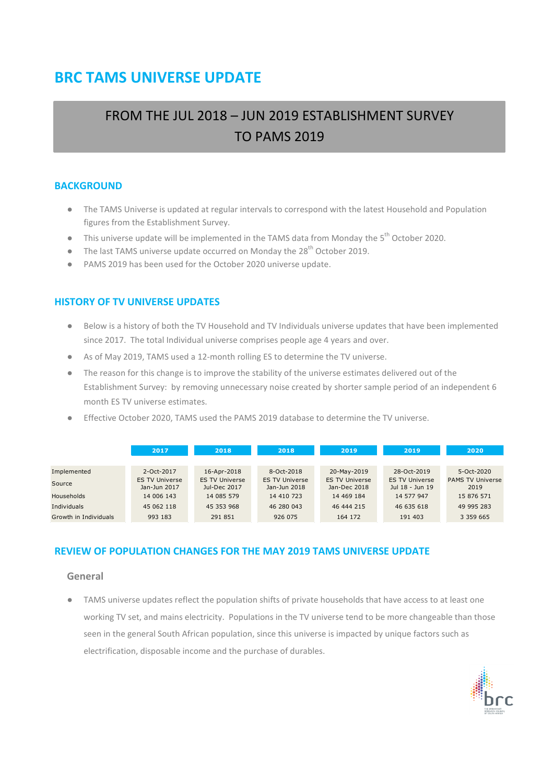# **BRC TAMS UNIVERSE UPDATE**

# FROM THE JUL 2018 – JUN 2019 ESTABLISHMENT SURVEY TO PAMS 2019

### **BACKGROUND**

- The TAMS Universe is updated at regular intervals to correspond with the latest Household and Population figures from the Establishment Survey.
- $\bullet$  This universe update will be implemented in the TAMS data from Monday the 5<sup>th</sup> October 2020.
- $\bullet$  The last TAMS universe update occurred on Monday the 28<sup>th</sup> October 2019.
- PAMS 2019 has been used for the October 2020 universe update.

### **HISTORY OF TV UNIVERSE UPDATES**

- Below is a history of both the TV Household and TV Individuals universe updates that have been implemented since 2017. The total Individual universe comprises people age 4 years and over.
- As of May 2019, TAMS used a 12-month rolling ES to determine the TV universe.
- The reason for this change is to improve the stability of the universe estimates delivered out of the Establishment Survey: by removing unnecessary noise created by shorter sample period of an independent 6 month ES TV universe estimates.
- Effective October 2020, TAMS used the PAMS 2019 database to determine the TV universe.

|                       | 2017                                  | 2018                                  |                                       | 2018<br>2019                          |                                          | 2020                            |
|-----------------------|---------------------------------------|---------------------------------------|---------------------------------------|---------------------------------------|------------------------------------------|---------------------------------|
|                       |                                       |                                       |                                       |                                       |                                          |                                 |
| Implemented           | 2-Oct-2017                            | 16-Apr-2018                           | 8-Oct-2018                            | 20-May-2019                           | 28-Oct-2019                              | 5-Oct-2020                      |
| Source                | <b>ES TV Universe</b><br>Jan-Jun 2017 | <b>ES TV Universe</b><br>Jul-Dec 2017 | <b>ES TV Universe</b><br>Jan-Jun 2018 | <b>ES TV Universe</b><br>Jan-Dec 2018 | <b>ES TV Universe</b><br>Jul 18 - Jun 19 | <b>PAMS TV Universe</b><br>2019 |
| <b>Households</b>     | 14 006 143                            | 14 085 579                            | 14 410 723                            | 14 469 184                            | 14 577 947                               | 15 876 571                      |
| Individuals           | 45 062 118                            | 45 353 968                            | 46 280 043                            | 46 444 215                            | 46 635 618                               | 49 995 283                      |
| Growth in Individuals | 993 183                               | 291 851                               | 926 075                               | 164 172                               | 191 403                                  | 3 3 5 9 6 6 5                   |

#### **REVIEW OF POPULATION CHANGES FOR THE MAY 2019 TAMS UNIVERSE UPDATE**

#### **General**

● TAMS universe updates reflect the population shifts of private households that have access to at least one working TV set, and mains electricity. Populations in the TV universe tend to be more changeable than those seen in the general South African population, since this universe is impacted by unique factors such as electrification, disposable income and the purchase of durables.

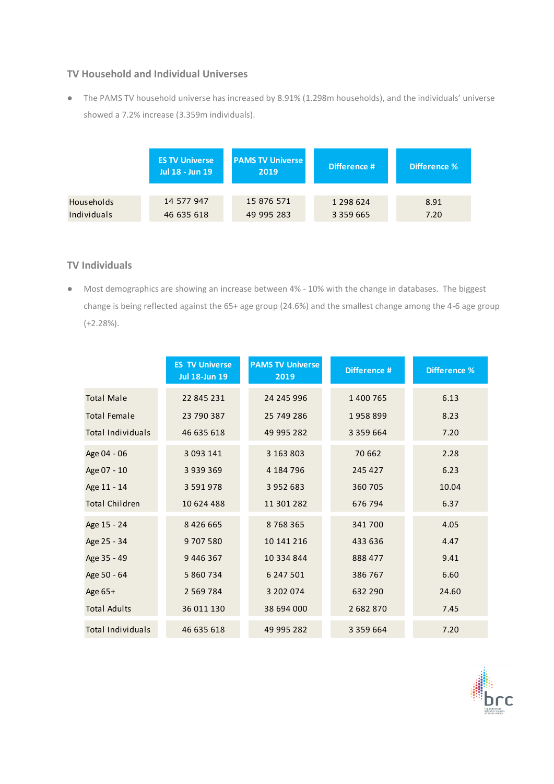### **TV Household and Individual Universes**

● The PAMS TV household universe has increased by 8.91% (1.298m households), and the individuals' universe showed a 7.2% increase (3.359m individuals).

|             | <b>ES TV Universe</b><br>Jul 18 - Jun 19 | <b>PAMS TV Universe</b><br>2019 | Difference #  | Difference % |  |
|-------------|------------------------------------------|---------------------------------|---------------|--------------|--|
|             |                                          |                                 |               |              |  |
| Households  | 14 577 947                               | 15 876 571                      | 1 2 9 8 6 2 4 | 8.91         |  |
| Individuals | 46 635 618                               | 49 995 283                      | 3 3 5 9 6 6 5 | 7.20         |  |

### **TV Individuals**

● Most demographics are showing an increase between 4% - 10% with the change in databases. The biggest change is being reflected against the 65+ age group (24.6%) and the smallest change among the 4-6 age group (+2.28%).

|                          | <b>ES TV Universe</b><br><b>Jul 18-Jun 19</b> | <b>PAMS TV Universe</b><br>2019 | Difference #  | <b>Difference %</b> |
|--------------------------|-----------------------------------------------|---------------------------------|---------------|---------------------|
| <b>Total Male</b>        | 22 845 231                                    | 24 245 996                      | 1 400 765     | 6.13                |
| <b>Total Female</b>      | 23 790 387                                    | 25 749 286                      | 1958899       | 8.23                |
| <b>Total Individuals</b> | 46 635 618                                    | 49 995 282                      | 3 3 5 9 6 6 4 | 7.20                |
| Age 04 - 06              | 3 0 9 3 1 4 1                                 | 3 163 803                       | 70 662        | 2.28                |
| Age 07 - 10              | 3 9 3 9 3 6 9                                 | 4 184 796                       | 245 427       | 6.23                |
| Age 11 - 14              | 3 5 9 1 9 7 8                                 | 3 952 683                       | 360 705       | 10.04               |
| <b>Total Children</b>    | 10 624 488                                    | 11 301 282                      | 676 794       | 6.37                |
| Age 15 - 24              | 8 4 2 6 6 6 5                                 | 8768365                         | 341 700       | 4.05                |
| Age 25 - 34              | 9707580                                       | 10 141 216                      | 433 636       | 4.47                |
| Age 35 - 49              | 9 446 367                                     | 10 334 844                      | 888 477       | 9.41                |
| Age 50 - 64              | 5 860 734                                     | 6 247 501                       | 386 767       | 6.60                |
| Age 65+                  | 2 5 6 9 7 8 4                                 | 3 202 074                       | 632 290       | 24.60               |
| <b>Total Adults</b>      | 36 011 130                                    | 38 694 000                      | 2682870       | 7.45                |
| <b>Total Individuals</b> | 46 635 618                                    | 49 995 282                      | 3 3 5 9 6 6 4 | 7.20                |

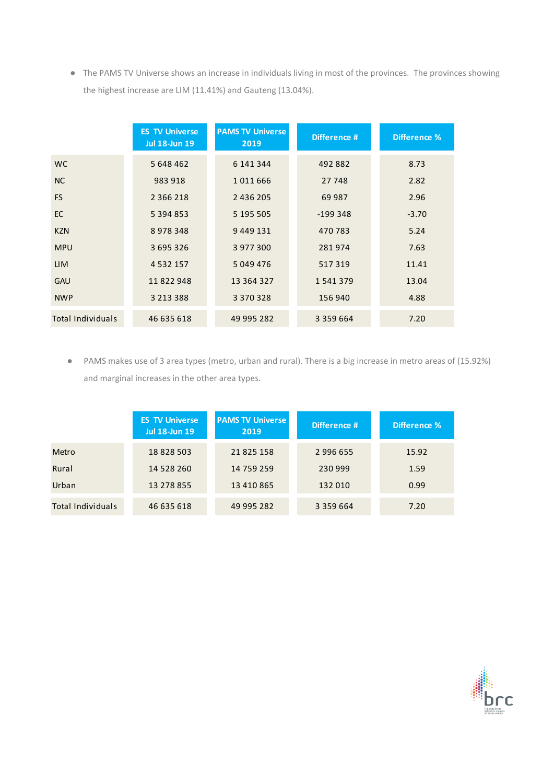● The PAMS TV Universe shows an increase in individuals living in most of the provinces. The provinces showing the highest increase are LIM (11.41%) and Gauteng (13.04%).

|                          | <b>ES TV Universe</b><br><b>Jul 18-Jun 19</b> | <b>PAMS TV Universe</b><br>2019 | Difference #  | Difference % |
|--------------------------|-----------------------------------------------|---------------------------------|---------------|--------------|
| WC.                      | 5 648 462                                     | 6 141 344                       | 492 882       | 8.73         |
| <b>NC</b>                | 983 918                                       | 1011666                         | 27 748        | 2.82         |
| <b>FS</b>                | 2 3 6 2 1 8                                   | 2 436 205                       | 69 987        | 2.96         |
| <b>EC</b>                | 5 3 9 4 8 5 3                                 | 5 195 505                       | $-199348$     | $-3.70$      |
| <b>KZN</b>               | 8978348                                       | 9 449 131                       | 470 783       | 5.24         |
| <b>MPU</b>               | 3 695 326                                     | 3 977 300                       | 281974        | 7.63         |
| <b>LIM</b>               | 4 5 3 2 1 5 7                                 | 5 049 476                       | 517319        | 11.41        |
| <b>GAU</b>               | 11822948                                      | 13 364 327                      | 1541379       | 13.04        |
| <b>NWP</b>               | 3 2 1 3 3 8 8                                 | 3 370 328                       | 156 940       | 4.88         |
| <b>Total Individuals</b> | 46 635 618                                    | 49 995 282                      | 3 3 5 9 6 6 4 | 7.20         |

● PAMS makes use of 3 area types (metro, urban and rural). There is a big increase in metro areas of (15.92%) and marginal increases in the other area types.

|                          | <b>ES TV Universe</b><br><b>Jul 18-Jun 19</b> | <b>PAMS TV Universe</b><br>Difference #<br>2019 |               | Difference % |
|--------------------------|-----------------------------------------------|-------------------------------------------------|---------------|--------------|
| Metro                    | 18828503                                      | 21 825 158                                      | 2 996 655     | 15.92        |
| Rural                    | 14 528 260                                    | 14 759 259                                      | 230 999       | 1.59         |
| Urban                    | 13 278 855                                    | 13 410 865                                      | 132 010       | 0.99         |
| <b>Total Individuals</b> | 46 635 618                                    | 49 995 282                                      | 3 3 5 9 6 6 4 | 7.20         |

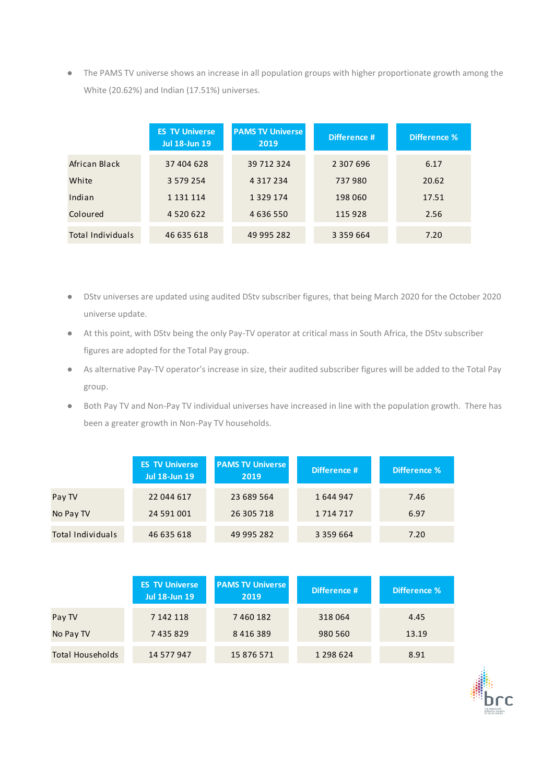● The PAMS TV universe shows an increase in all population groups with higher proportionate growth among the White (20.62%) and Indian (17.51%) universes.

|                   | <b>ES TV Universe</b><br><b>Jul 18-Jun 19</b> | <b>PAMS TV Universe</b><br>Difference #<br>2019 |               | Difference % |
|-------------------|-----------------------------------------------|-------------------------------------------------|---------------|--------------|
| African Black     | 37 404 628                                    | 39 712 324                                      | 2 307 696     | 6.17         |
| White             | 3 579 254                                     | 4 3 1 7 2 3 4                                   | 737980        | 20.62        |
| Indian            | 1 1 3 1 1 1 1 4                               | 1 3 2 9 1 7 4                                   | 198 060       | 17.51        |
| Coloured          | 4 5 2 0 6 2 2                                 | 4 636 550                                       | 115 928       | 2.56         |
| Total Individuals | 46 635 618                                    | 49 995 282                                      | 3 3 5 9 6 6 4 | 7.20         |

- DStv universes are updated using audited DStv subscriber figures, that being March 2020 for the October 2020 universe update.
- At this point, with DStv being the only Pay-TV operator at critical mass in South Africa, the DStv subscriber figures are adopted for the Total Pay group.
- As alternative Pay-TV operator's increase in size, their audited subscriber figures will be added to the Total Pay group.
- Both Pay TV and Non-Pay TV individual universes have increased in line with the population growth. There has been a greater growth in Non-Pay TV households.

|                   | <b>ES TV Universe</b><br><b>Jul 18-Jun 19</b> | <b>PAMS TV Universe</b><br>2019 | Difference #  | Difference % |
|-------------------|-----------------------------------------------|---------------------------------|---------------|--------------|
| Pay TV            | 22 044 617                                    | 23 689 564                      | 1644947       | 7.46         |
| No Pay TV         | 24 591 001                                    | 26 305 718                      | 1 7 1 4 7 1 7 | 6.97         |
| Total Individuals | 46 635 618                                    | 49 995 282                      | 3 3 5 9 6 6 4 | 7.20         |

|                         | <b>ES TV Universe</b><br><b>Jul 18-Jun 19</b> | <b>PAMS TV Universe</b><br>2019 | Difference # | Difference % |
|-------------------------|-----------------------------------------------|---------------------------------|--------------|--------------|
| Pay TV                  | 7 142 118                                     | 7460182                         | 318064       | 4.45         |
| No Pay TV               | 7435829                                       | 8 4 1 6 3 8 9                   | 980 560      | 13.19        |
| <b>Total Households</b> | 14 577 947                                    | 15 876 571                      | 1 298 624    | 8.91         |

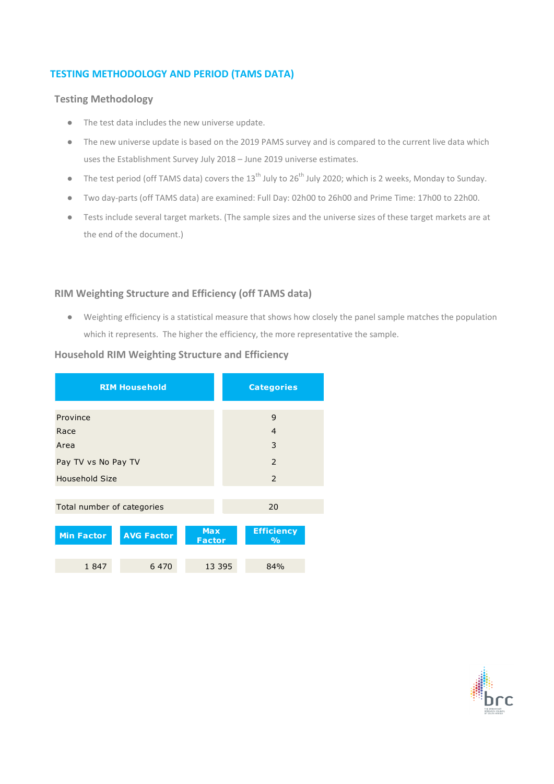### **TESTING METHODOLOGY AND PERIOD (TAMS DATA)**

### **Testing Methodology**

- The test data includes the new universe update.
- The new universe update is based on the 2019 PAMS survey and is compared to the current live data which uses the Establishment Survey July 2018 – June 2019 universe estimates.
- The test period (off TAMS data) covers the  $13^{th}$  July to  $26^{th}$  July 2020; which is 2 weeks, Monday to Sunday.
- Two day-parts (off TAMS data) are examined: Full Day: 02h00 to 26h00 and Prime Time: 17h00 to 22h00.
- Tests include several target markets. (The sample sizes and the universe sizes of these target markets are at the end of the document.)

### **RIM Weighting Structure and Efficiency (off TAMS data)**

● Weighting efficiency is a statistical measure that shows how closely the panel sample matches the population which it represents. The higher the efficiency, the more representative the sample.

### **Household RIM Weighting Structure and Efficiency**

|                            | <b>RIM Household</b> |                             |    | <b>Categories</b>                  |  |  |  |
|----------------------------|----------------------|-----------------------------|----|------------------------------------|--|--|--|
|                            |                      |                             |    |                                    |  |  |  |
| Province                   |                      |                             |    | 9                                  |  |  |  |
| Race                       |                      |                             |    | $\overline{4}$                     |  |  |  |
| Area                       |                      |                             |    | 3                                  |  |  |  |
| Pay TV vs No Pay TV        |                      |                             |    | 2                                  |  |  |  |
| <b>Household Size</b>      |                      |                             |    | $\overline{2}$                     |  |  |  |
|                            |                      |                             |    |                                    |  |  |  |
| Total number of categories |                      |                             | 20 |                                    |  |  |  |
|                            |                      |                             |    |                                    |  |  |  |
| <b>Min Factor</b>          | <b>AVG Factor</b>    | <b>Max</b><br><b>Factor</b> |    | <b>Efficiency</b><br>$\frac{1}{2}$ |  |  |  |
|                            |                      |                             |    |                                    |  |  |  |
| 1847                       | 6 4 7 0              | 13 3 95                     |    | 84%                                |  |  |  |

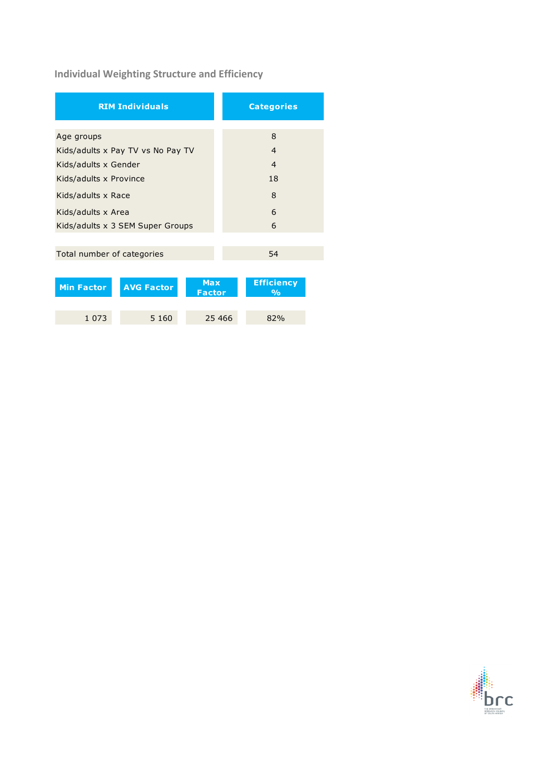# **Individual Weighting Structure and Efficiency**

| <b>RIM Individuals</b>                                                | <b>Categories</b>                       |  |  |
|-----------------------------------------------------------------------|-----------------------------------------|--|--|
|                                                                       |                                         |  |  |
| Age groups                                                            | 8                                       |  |  |
| Kids/adults x Pay TV vs No Pay TV                                     | $\overline{4}$                          |  |  |
| Kids/adults x Gender                                                  | $\overline{4}$                          |  |  |
| Kids/adults x Province                                                | 18                                      |  |  |
| Kids/adults x Race                                                    | 8                                       |  |  |
| Kids/adults x Area                                                    | 6                                       |  |  |
| Kids/adults x 3 SEM Super Groups                                      | 6                                       |  |  |
|                                                                       |                                         |  |  |
| Total number of categories                                            | 54                                      |  |  |
|                                                                       |                                         |  |  |
| <b>Max</b><br><b>Min Factor</b><br><b>AVG Factor</b><br><b>Factor</b> | <b>Efficiency</b><br>$\frac{0}{\alpha}$ |  |  |

1 073 5 160 25 466 82%

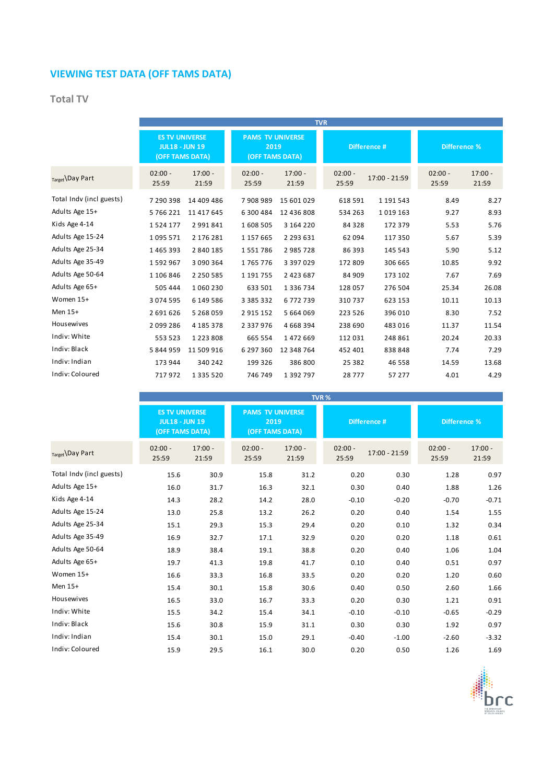# **VIEWING TEST DATA (OFF TAMS DATA)**

### **Total TV**

|                          | <b>TVR</b>                                                        |                    |                                                    |                    |                    |               |                    |                    |
|--------------------------|-------------------------------------------------------------------|--------------------|----------------------------------------------------|--------------------|--------------------|---------------|--------------------|--------------------|
|                          | <b>ES TV UNIVERSE</b><br><b>JUL18 - JUN 19</b><br>(OFF TAMS DATA) |                    | <b>PAMS TV UNIVERSE</b><br>2019<br>(OFF TAMS DATA) |                    | Difference #       |               | Difference %       |                    |
| Target Day Part          | $02:00 -$<br>25:59                                                | $17:00 -$<br>21:59 | $02:00 -$<br>25:59                                 | $17:00 -$<br>21:59 | $02:00 -$<br>25:59 | 17:00 - 21:59 | $02:00 -$<br>25:59 | $17:00 -$<br>21:59 |
| Total Indv (incl guests) | 7 290 398                                                         | 14 409 486         | 7908989                                            | 15 601 029         | 618 591            | 1 191 543     | 8.49               | 8.27               |
| Adults Age 15+           | 5766221                                                           | 11 417 645         | 6 300 484                                          | 12 436 808         | 534 263            | 1019163       | 9.27               | 8.93               |
| Kids Age 4-14            | 1524177                                                           | 2 991 841          | 1608 505                                           | 3 164 220          | 84 3 28            | 172 379       | 5.53               | 5.76               |
| Adults Age 15-24         | 1095571                                                           | 2 176 281          | 1 157 665                                          | 2 2 9 3 6 3 1      | 62 094             | 117 350       | 5.67               | 5.39               |
| Adults Age 25-34         | 1465393                                                           | 2 840 185          | 1551786                                            | 2985728            | 86 393             | 145 543       | 5.90               | 5.12               |
| Adults Age 35-49         | 1592967                                                           | 3 090 364          | 1765776                                            | 3 3 9 7 0 2 9      | 172 809            | 306 665       | 10.85              | 9.92               |
| Adults Age 50-64         | 1 106 846                                                         | 2 2 5 0 5 8 5      | 1 191 755                                          | 2 4 2 3 6 8 7      | 84 909             | 173 102       | 7.67               | 7.69               |
| Adults Age 65+           | 505 444                                                           | 1 060 230          | 633 501                                            | 1 3 3 6 7 3 4      | 128 057            | 276 504       | 25.34              | 26.08              |
| Women 15+                | 3 0 7 4 5 9 5                                                     | 6 149 586          | 3 3 8 5 3 3 2                                      | 6772739            | 310737             | 623 153       | 10.11              | 10.13              |
| Men 15+                  | 2691626                                                           | 5 268 059          | 2915152                                            | 5 664 069          | 223 526            | 396 010       | 8.30               | 7.52               |
| Housewives               | 2099286                                                           | 4 185 378          | 2 3 3 7 9 7 6                                      | 4 6 6 8 3 9 4      | 238 690            | 483 016       | 11.37              | 11.54              |
| Indiv: White             | 553 523                                                           | 1 2 2 3 8 0 8      | 665 554                                            | 1472669            | 112 031            | 248 861       | 20.24              | 20.33              |
| Indiv: Black             | 5844959                                                           | 11 509 916         | 6 297 360                                          | 12 348 764         | 452 401            | 838 848       | 7.74               | 7.29               |
| Indiv: Indian            | 173 944                                                           | 340 242            | 199 326                                            | 386 800            | 25 382             | 46 5 58       | 14.59              | 13.68              |
| Indiv: Coloured          | 717972                                                            | 1 3 3 5 5 2 0      | 746 749                                            | 1 3 9 2 7 9 7      | 28 777             | 57 277        | 4.01               | 4.29               |

|                          |                                                                   | TVR%               |                                                    |                    |                    |               |                     |                    |
|--------------------------|-------------------------------------------------------------------|--------------------|----------------------------------------------------|--------------------|--------------------|---------------|---------------------|--------------------|
|                          | <b>ES TV UNIVERSE</b><br><b>JUL18 - JUN 19</b><br>(OFF TAMS DATA) |                    | <b>PAMS TV UNIVERSE</b><br>2019<br>(OFF TAMS DATA) |                    | Difference #       |               | <b>Difference %</b> |                    |
| Target \Day Part         | $02:00 -$<br>25:59                                                | $17:00 -$<br>21:59 | $02:00 -$<br>25:59                                 | $17:00 -$<br>21:59 | $02:00 -$<br>25:59 | 17:00 - 21:59 | $02:00 -$<br>25:59  | $17:00 -$<br>21:59 |
| Total Indy (incl guests) | 15.6                                                              | 30.9               | 15.8                                               | 31.2               | 0.20               | 0.30          | 1.28                | 0.97               |
| Adults Age 15+           | 16.0                                                              | 31.7               | 16.3                                               | 32.1               | 0.30               | 0.40          | 1.88                | 1.26               |
| Kids Age 4-14            | 14.3                                                              | 28.2               | 14.2                                               | 28.0               | $-0.10$            | $-0.20$       | $-0.70$             | $-0.71$            |
| Adults Age 15-24         | 13.0                                                              | 25.8               | 13.2                                               | 26.2               | 0.20               | 0.40          | 1.54                | 1.55               |
| Adults Age 25-34         | 15.1                                                              | 29.3               | 15.3                                               | 29.4               | 0.20               | 0.10          | 1.32                | 0.34               |
| Adults Age 35-49         | 16.9                                                              | 32.7               | 17.1                                               | 32.9               | 0.20               | 0.20          | 1.18                | 0.61               |
| Adults Age 50-64         | 18.9                                                              | 38.4               | 19.1                                               | 38.8               | 0.20               | 0.40          | 1.06                | 1.04               |
| Adults Age 65+           | 19.7                                                              | 41.3               | 19.8                                               | 41.7               | 0.10               | 0.40          | 0.51                | 0.97               |
| Women 15+                | 16.6                                                              | 33.3               | 16.8                                               | 33.5               | 0.20               | 0.20          | 1.20                | 0.60               |
| Men 15+                  | 15.4                                                              | 30.1               | 15.8                                               | 30.6               | 0.40               | 0.50          | 2.60                | 1.66               |
| Housewives               | 16.5                                                              | 33.0               | 16.7                                               | 33.3               | 0.20               | 0.30          | 1.21                | 0.91               |
| Indiv: White             | 15.5                                                              | 34.2               | 15.4                                               | 34.1               | $-0.10$            | $-0.10$       | $-0.65$             | $-0.29$            |
| Indiv: Black             | 15.6                                                              | 30.8               | 15.9                                               | 31.1               | 0.30               | 0.30          | 1.92                | 0.97               |
| Indiv: Indian            | 15.4                                                              | 30.1               | 15.0                                               | 29.1               | $-0.40$            | $-1.00$       | $-2.60$             | $-3.32$            |
| Indiv: Coloured          | 15.9                                                              | 29.5               | 16.1                                               | 30.0               | 0.20               | 0.50          | 1.26                | 1.69               |

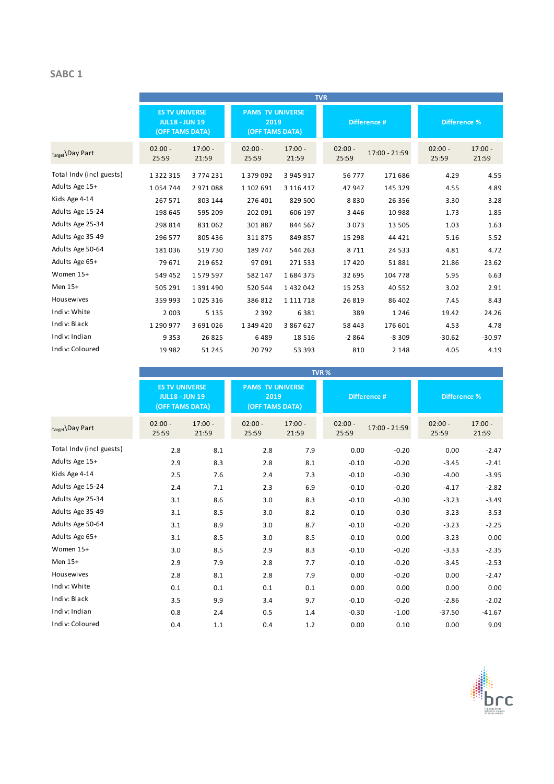### **SABC 1**

|                          |                                                                   |                    |                    |                                                    | <b>TVR</b>         |               |                     |                    |
|--------------------------|-------------------------------------------------------------------|--------------------|--------------------|----------------------------------------------------|--------------------|---------------|---------------------|--------------------|
|                          | <b>ES TV UNIVERSE</b><br><b>JUL18 - JUN 19</b><br>(OFF TAMS DATA) |                    |                    | <b>PAMS TV UNIVERSE</b><br>2019<br>(OFF TAMS DATA) |                    | Difference #  | <b>Difference %</b> |                    |
| Target Day Part          | $02:00 -$<br>25:59                                                | $17:00 -$<br>21:59 | $02:00 -$<br>25:59 | $17:00 -$<br>21:59                                 | $02:00 -$<br>25:59 | 17:00 - 21:59 | $02:00 -$<br>25:59  | $17:00 -$<br>21:59 |
| Total Indv (incl guests) | 1 3 2 2 3 1 5                                                     | 3774231            | 1 379 092          | 3 945 917                                          | 56 777             | 171 686       | 4.29                | 4.55               |
| Adults Age 15+           | 1054744                                                           | 2971088            | 1 102 691          | 3 116 417                                          | 47 947             | 145 329       | 4.55                | 4.89               |
| Kids Age 4-14            | 267 571                                                           | 803 144            | 276 401            | 829 500                                            | 8830               | 26 35 6       | 3.30                | 3.28               |
| Adults Age 15-24         | 198 645                                                           | 595 209            | 202 091            | 606 197                                            | 3 4 4 6            | 10 988        | 1.73                | 1.85               |
| Adults Age 25-34         | 298 814                                                           | 831062             | 301887             | 844 567                                            | 3 0 7 3            | 13 5 05       | 1.03                | 1.63               |
| Adults Age 35-49         | 296 577                                                           | 805 436            | 311875             | 849 857                                            | 15 2 98            | 44 4 21       | 5.16                | 5.52               |
| Adults Age 50-64         | 181036                                                            | 519730             | 189 747            | 544 263                                            | 8711               | 24 5 3 3      | 4.81                | 4.72               |
| Adults Age 65+           | 79 671                                                            | 219 652            | 97 091             | 271533                                             | 17420              | 51881         | 21.86               | 23.62              |
| Women 15+                | 549 452                                                           | 1579597            | 582 147            | 1684375                                            | 32 695             | 104 778       | 5.95                | 6.63               |
| Men 15+                  | 505 291                                                           | 1 391 490          | 520 544            | 1432042                                            | 15 2 5 3           | 40 5 52       | 3.02                | 2.91               |
| Housewives               | 359 993                                                           | 1025316            | 386 812            | 1 1 1 1 7 1 8                                      | 26 8 19            | 86 402        | 7.45                | 8.43               |
| Indiv: White             | 2 0 0 3                                                           | 5 1 3 5            | 2 3 9 2            | 6381                                               | 389                | 1246          | 19.42               | 24.26              |
| Indiv: Black             | 1 290 977                                                         | 3 691 026          | 1 349 420          | 3 867 627                                          | 58 4 43            | 176 601       | 4.53                | 4.78               |
| Indiv: Indian            | 9 3 5 3                                                           | 26 8 25            | 6489               | 18516                                              | $-2864$            | $-8309$       | $-30.62$            | $-30.97$           |
| Indiv: Coloured          | 19982                                                             | 51 245             | 20792              | 53 393                                             | 810                | 2 1 4 8       | 4.05                | 4.19               |

|                          |                                                                   |                    |                                                    |                    | TVR %              |               |                    |                    |
|--------------------------|-------------------------------------------------------------------|--------------------|----------------------------------------------------|--------------------|--------------------|---------------|--------------------|--------------------|
|                          | <b>ES TV UNIVERSE</b><br><b>JUL18 - JUN 19</b><br>(OFF TAMS DATA) |                    | <b>PAMS TV UNIVERSE</b><br>2019<br>(OFF TAMS DATA) |                    | Difference #       |               | Difference %       |                    |
| Target \Day Part         | $02:00 -$<br>25:59                                                | $17:00 -$<br>21:59 | $02:00 -$<br>25:59                                 | $17:00 -$<br>21:59 | $02:00 -$<br>25:59 | 17:00 - 21:59 | $02:00 -$<br>25:59 | $17:00 -$<br>21:59 |
| Total Indv (incl guests) | 2.8                                                               | 8.1                | 2.8                                                | 7.9                | 0.00               | $-0.20$       | 0.00               | $-2.47$            |
| Adults Age 15+           | 2.9                                                               | 8.3                | 2.8                                                | 8.1                | $-0.10$            | $-0.20$       | $-3.45$            | $-2.41$            |
| Kids Age 4-14            | 2.5                                                               | 7.6                | 2.4                                                | 7.3                | $-0.10$            | $-0.30$       | $-4.00$            | $-3.95$            |
| Adults Age 15-24         | 2.4                                                               | 7.1                | 2.3                                                | 6.9                | $-0.10$            | $-0.20$       | $-4.17$            | $-2.82$            |
| Adults Age 25-34         | 3.1                                                               | 8.6                | 3.0                                                | 8.3                | $-0.10$            | $-0.30$       | $-3.23$            | $-3.49$            |
| Adults Age 35-49         | 3.1                                                               | 8.5                | 3.0                                                | 8.2                | $-0.10$            | $-0.30$       | $-3.23$            | $-3.53$            |
| Adults Age 50-64         | 3.1                                                               | 8.9                | 3.0                                                | 8.7                | $-0.10$            | $-0.20$       | $-3.23$            | $-2.25$            |
| Adults Age 65+           | 3.1                                                               | 8.5                | 3.0                                                | 8.5                | $-0.10$            | 0.00          | $-3.23$            | 0.00               |
| Women 15+                | 3.0                                                               | 8.5                | 2.9                                                | 8.3                | $-0.10$            | $-0.20$       | $-3.33$            | $-2.35$            |
| Men 15+                  | 2.9                                                               | 7.9                | 2.8                                                | 7.7                | $-0.10$            | $-0.20$       | $-3.45$            | $-2.53$            |
| Housewives               | 2.8                                                               | 8.1                | 2.8                                                | 7.9                | 0.00               | $-0.20$       | 0.00               | $-2.47$            |
| Indiv: White             | 0.1                                                               | 0.1                | 0.1                                                | 0.1                | 0.00               | 0.00          | 0.00               | 0.00               |
| Indiv: Black             | 3.5                                                               | 9.9                | 3.4                                                | 9.7                | $-0.10$            | $-0.20$       | $-2.86$            | $-2.02$            |
| Indiv: Indian            | 0.8                                                               | 2.4                | 0.5                                                | 1.4                | $-0.30$            | $-1.00$       | $-37.50$           | $-41.67$           |
| Indiv: Coloured          | 0.4                                                               | 1.1                | 0.4                                                | 1.2                | 0.00               | 0.10          | 0.00               | 9.09               |

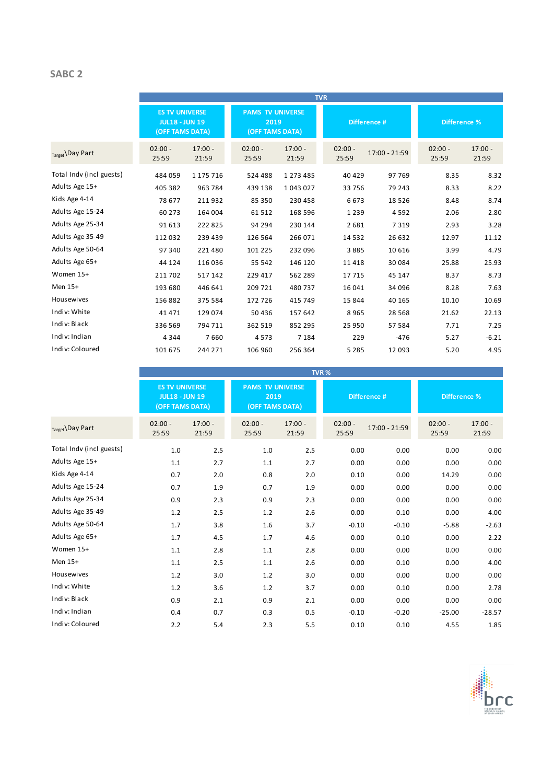### **SABC 2**

|                          |                                                                   |                    |                                                    |                    | <b>TVR</b>         |               |                     |                    |
|--------------------------|-------------------------------------------------------------------|--------------------|----------------------------------------------------|--------------------|--------------------|---------------|---------------------|--------------------|
|                          | <b>ES TV UNIVERSE</b><br><b>JUL18 - JUN 19</b><br>(OFF TAMS DATA) |                    | <b>PAMS TV UNIVERSE</b><br>2019<br>(OFF TAMS DATA) |                    |                    | Difference #  | <b>Difference %</b> |                    |
| Target Day Part          | $02:00 -$<br>25:59                                                | $17:00 -$<br>21:59 | $02:00 -$<br>25:59                                 | $17:00 -$<br>21:59 | $02:00 -$<br>25:59 | 17:00 - 21:59 | $02:00 -$<br>25:59  | $17:00 -$<br>21:59 |
| Total Indy (incl guests) | 484 059                                                           | 1 175 716          | 524 488                                            | 1 2 7 3 4 8 5      | 40 4 29            | 97769         | 8.35                | 8.32               |
| Adults Age 15+           | 405 382                                                           | 963 784            | 439 138                                            | 1043027            | 33 756             | 79 243        | 8.33                | 8.22               |
| Kids Age 4-14            | 78 677                                                            | 211932             | 85 350                                             | 230 458            | 6673               | 18526         | 8.48                | 8.74               |
| Adults Age 15-24         | 60 273                                                            | 164 004            | 61 512                                             | 168 596            | 1 2 3 9            | 4592          | 2.06                | 2.80               |
| Adults Age 25-34         | 91 613                                                            | 222 825            | 94 294                                             | 230 144            | 2681               | 7319          | 2.93                | 3.28               |
| Adults Age 35-49         | 112 032                                                           | 239 439            | 126 564                                            | 266 071            | 14 5 32            | 26 632        | 12.97               | 11.12              |
| Adults Age 50-64         | 97 340                                                            | 221 480            | 101 225                                            | 232 096            | 3885               | 10 6 16       | 3.99                | 4.79               |
| Adults Age 65+           | 44 124                                                            | 116 036            | 55 542                                             | 146 120            | 11 4 18            | 30084         | 25.88               | 25.93              |
| Women 15+                | 211 702                                                           | 517 142            | 229 417                                            | 562 289            | 17715              | 45 147        | 8.37                | 8.73               |
| Men 15+                  | 193 680                                                           | 446 641            | 209 721                                            | 480 737            | 16 041             | 34 096        | 8.28                | 7.63               |
| Housewives               | 156 882                                                           | 375 584            | 172 726                                            | 415 749            | 15 844             | 40 165        | 10.10               | 10.69              |
| Indiv: White             | 41 471                                                            | 129 074            | 50 436                                             | 157 642            | 8965               | 28 5 68       | 21.62               | 22.13              |
| Indiv: Black             | 336 569                                                           | 794 711            | 362 519                                            | 852 295            | 25 950             | 57 584        | 7.71                | 7.25               |
| Indiv: Indian            | 4 3 4 4                                                           | 7660               | 4573                                               | 7 1 8 4            | 229                | $-476$        | 5.27                | $-6.21$            |
| Indiv: Coloured          | 101 675                                                           | 244 271            | 106 960                                            | 256 364            | 5 2 8 5            | 12 093        | 5.20                | 4.95               |

|                          |                    |                                                                                                                                         |                    |                    | TVR%               |               |                    |                    |
|--------------------------|--------------------|-----------------------------------------------------------------------------------------------------------------------------------------|--------------------|--------------------|--------------------|---------------|--------------------|--------------------|
|                          |                    | <b>ES TV UNIVERSE</b><br><b>PAMS TV UNIVERSE</b><br><b>JUL18 - JUN 19</b><br>2019<br>Difference #<br>(OFF TAMS DATA)<br>(OFF TAMS DATA) |                    |                    | Difference %       |               |                    |                    |
| Target Day Part          | $02:00 -$<br>25:59 | $17:00 -$<br>21:59                                                                                                                      | $02:00 -$<br>25:59 | $17:00 -$<br>21:59 | $02:00 -$<br>25:59 | 17:00 - 21:59 | $02:00 -$<br>25:59 | $17:00 -$<br>21:59 |
| Total Indv (incl guests) | 1.0                | 2.5                                                                                                                                     | 1.0                | 2.5                | 0.00               | 0.00          | 0.00               | 0.00               |
| Adults Age 15+           | 1.1                | 2.7                                                                                                                                     | 1.1                | 2.7                | 0.00               | 0.00          | 0.00               | 0.00               |
| Kids Age 4-14            | 0.7                | 2.0                                                                                                                                     | 0.8                | 2.0                | 0.10               | 0.00          | 14.29              | 0.00               |
| Adults Age 15-24         | 0.7                | 1.9                                                                                                                                     | 0.7                | 1.9                | 0.00               | 0.00          | 0.00               | 0.00               |
| Adults Age 25-34         | 0.9                | 2.3                                                                                                                                     | 0.9                | 2.3                | 0.00               | 0.00          | 0.00               | 0.00               |
| Adults Age 35-49         | 1.2                | 2.5                                                                                                                                     | 1.2                | 2.6                | 0.00               | 0.10          | 0.00               | 4.00               |
| Adults Age 50-64         | 1.7                | 3.8                                                                                                                                     | 1.6                | 3.7                | $-0.10$            | $-0.10$       | $-5.88$            | $-2.63$            |
| Adults Age 65+           | 1.7                | 4.5                                                                                                                                     | 1.7                | 4.6                | 0.00               | 0.10          | 0.00               | 2.22               |
| Women 15+                | 1.1                | 2.8                                                                                                                                     | 1.1                | 2.8                | 0.00               | 0.00          | 0.00               | 0.00               |
| Men 15+                  | $1.1\,$            | 2.5                                                                                                                                     | 1.1                | 2.6                | 0.00               | 0.10          | 0.00               | 4.00               |
| Housewives               | 1.2                | 3.0                                                                                                                                     | 1.2                | 3.0                | 0.00               | 0.00          | 0.00               | 0.00               |
| Indiv: White             | 1.2                | 3.6                                                                                                                                     | 1.2                | 3.7                | 0.00               | 0.10          | 0.00               | 2.78               |
| Indiv: Black             | 0.9                | 2.1                                                                                                                                     | 0.9                | 2.1                | 0.00               | 0.00          | 0.00               | 0.00               |
| Indiv: Indian            | 0.4                | 0.7                                                                                                                                     | 0.3                | 0.5                | $-0.10$            | $-0.20$       | $-25.00$           | $-28.57$           |
| Indiv: Coloured          | 2.2                | 5.4                                                                                                                                     | 2.3                | 5.5                | 0.10               | 0.10          | 4.55               | 1.85               |

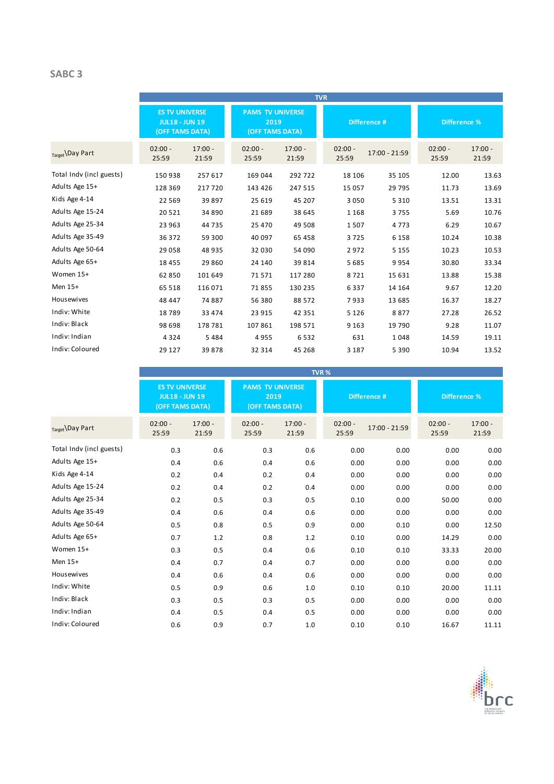## **SABC 3**

|                          |                                                                   |                    |                                                    |                    | <b>TVR</b>         |               |                     |                    |
|--------------------------|-------------------------------------------------------------------|--------------------|----------------------------------------------------|--------------------|--------------------|---------------|---------------------|--------------------|
|                          | <b>ES TV UNIVERSE</b><br><b>JUL18 - JUN 19</b><br>(OFF TAMS DATA) |                    | <b>PAMS TV UNIVERSE</b><br>2019<br>(OFF TAMS DATA) |                    | Difference #       |               | <b>Difference %</b> |                    |
| Target Day Part          | $02:00 -$<br>25:59                                                | $17:00 -$<br>21:59 | $02:00 -$<br>25:59                                 | $17:00 -$<br>21:59 | $02:00 -$<br>25:59 | 17:00 - 21:59 | $02:00 -$<br>25:59  | $17:00 -$<br>21:59 |
| Total Indv (incl guests) | 150938                                                            | 257 617            | 169 044                                            | 292 722            | 18 10 6            | 35 105        | 12.00               | 13.63              |
| Adults Age 15+           | 128 369                                                           | 217720             | 143 426                                            | 247 515            | 15 0 57            | 29 7 95       | 11.73               | 13.69              |
| Kids Age 4-14            | 22 5 6 9                                                          | 39897              | 25 619                                             | 45 207             | 3 0 5 0            | 5 3 1 0       | 13.51               | 13.31              |
| Adults Age 15-24         | 20521                                                             | 34 890             | 21 689                                             | 38 645             | 1 1 6 8            | 3755          | 5.69                | 10.76              |
| Adults Age 25-34         | 23 963                                                            | 44735              | 25 470                                             | 49 508             | 1507               | 4773          | 6.29                | 10.67              |
| Adults Age 35-49         | 36 372                                                            | 59 300             | 40 097                                             | 65 458             | 3725               | 6 1 5 8       | 10.24               | 10.38              |
| Adults Age 50-64         | 29 0 58                                                           | 48 935             | 32 030                                             | 54 090             | 2972               | 5 1 5 5       | 10.23               | 10.53              |
| Adults Age 65+           | 18 4 5 5                                                          | 29 860             | 24 140                                             | 39814              | 5 6 8 5            | 9954          | 30.80               | 33.34              |
| Women 15+                | 62 850                                                            | 101 649            | 71571                                              | 117 280            | 8721               | 15 6 31       | 13.88               | 15.38              |
| Men 15+                  | 65 518                                                            | 116 071            | 71855                                              | 130 235            | 6337               | 14 164        | 9.67                | 12.20              |
| Housewives               | 48 447                                                            | 74887              | 56 380                                             | 88 572             | 7933               | 13 685        | 16.37               | 18.27              |
| Indiv: White             | 18789                                                             | 33 4 74            | 23 915                                             | 42 3 51            | 5 1 2 6            | 8877          | 27.28               | 26.52              |
| Indiv: Black             | 98 698                                                            | 178 781            | 107 861                                            | 198 571            | 9 1 6 3            | 19 790        | 9.28                | 11.07              |
| Indiv: Indian            | 4 3 2 4                                                           | 5484               | 4955                                               | 6532               | 631                | 1048          | 14.59               | 19.11              |
| Indiv: Coloured          | 29 127                                                            | 39878              | 32 314                                             | 45 268             | 3 1 8 7            | 5 3 9 0       | 10.94               | 13.52              |

|                          |                                                                   | TVR%               |                                                    |                    |                                     |               |                    |                    |  |  |
|--------------------------|-------------------------------------------------------------------|--------------------|----------------------------------------------------|--------------------|-------------------------------------|---------------|--------------------|--------------------|--|--|
|                          | <b>ES TV UNIVERSE</b><br><b>JUL18 - JUN 19</b><br>(OFF TAMS DATA) |                    | <b>PAMS TV UNIVERSE</b><br>2019<br>(OFF TAMS DATA) |                    | Difference #<br><b>Difference %</b> |               |                    |                    |  |  |
| Target Day Part          | $02:00 -$<br>25:59                                                | $17:00 -$<br>21:59 | $02:00 -$<br>25:59                                 | $17:00 -$<br>21:59 | $02:00 -$<br>25:59                  | 17:00 - 21:59 | $02:00 -$<br>25:59 | $17:00 -$<br>21:59 |  |  |
| Total Indv (incl guests) | 0.3                                                               | 0.6                | 0.3                                                | 0.6                | 0.00                                | 0.00          | 0.00               | 0.00               |  |  |
| Adults Age 15+           | 0.4                                                               | 0.6                | 0.4                                                | 0.6                | 0.00                                | 0.00          | 0.00               | 0.00               |  |  |
| Kids Age 4-14            | 0.2                                                               | 0.4                | 0.2                                                | 0.4                | 0.00                                | 0.00          | 0.00               | 0.00               |  |  |
| Adults Age 15-24         | 0.2                                                               | 0.4                | 0.2                                                | 0.4                | 0.00                                | 0.00          | 0.00               | 0.00               |  |  |
| Adults Age 25-34         | 0.2                                                               | 0.5                | 0.3                                                | 0.5                | 0.10                                | 0.00          | 50.00              | 0.00               |  |  |
| Adults Age 35-49         | 0.4                                                               | 0.6                | 0.4                                                | 0.6                | 0.00                                | 0.00          | 0.00               | 0.00               |  |  |
| Adults Age 50-64         | 0.5                                                               | 0.8                | 0.5                                                | 0.9                | 0.00                                | 0.10          | 0.00               | 12.50              |  |  |
| Adults Age 65+           | 0.7                                                               | 1.2                | 0.8                                                | 1.2                | 0.10                                | 0.00          | 14.29              | 0.00               |  |  |
| Women 15+                | 0.3                                                               | 0.5                | 0.4                                                | 0.6                | 0.10                                | 0.10          | 33.33              | 20.00              |  |  |
| Men 15+                  | 0.4                                                               | 0.7                | 0.4                                                | 0.7                | 0.00                                | 0.00          | 0.00               | 0.00               |  |  |
| Housewives               | 0.4                                                               | 0.6                | 0.4                                                | 0.6                | 0.00                                | 0.00          | 0.00               | 0.00               |  |  |
| Indiv: White             | 0.5                                                               | 0.9                | 0.6                                                | 1.0                | 0.10                                | 0.10          | 20.00              | 11.11              |  |  |
| Indiv: Black             | 0.3                                                               | 0.5                | 0.3                                                | 0.5                | 0.00                                | 0.00          | 0.00               | 0.00               |  |  |
| Indiv: Indian            | 0.4                                                               | 0.5                | 0.4                                                | 0.5                | 0.00                                | 0.00          | 0.00               | 0.00               |  |  |
| Indiv: Coloured          | 0.6                                                               | 0.9                | 0.7                                                | 1.0                | 0.10                                | 0.10          | 16.67              | 11.11              |  |  |

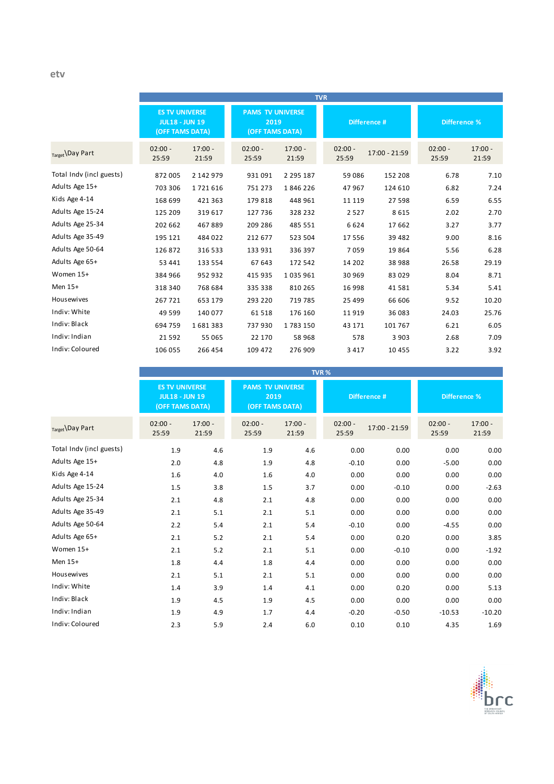|                          |                                                                   |                    |                                                    |                    | <b>TVR</b>         |               |                     |                    |
|--------------------------|-------------------------------------------------------------------|--------------------|----------------------------------------------------|--------------------|--------------------|---------------|---------------------|--------------------|
|                          | <b>ES TV UNIVERSE</b><br><b>JUL18 - JUN 19</b><br>(OFF TAMS DATA) |                    | <b>PAMS TV UNIVERSE</b><br>2019<br>(OFF TAMS DATA) |                    | Difference #       |               | <b>Difference %</b> |                    |
| Target Day Part          | $02:00 -$<br>25:59                                                | $17:00 -$<br>21:59 | $02:00 -$<br>25:59                                 | $17:00 -$<br>21:59 | $02:00 -$<br>25:59 | 17:00 - 21:59 | $02:00 -$<br>25:59  | $17:00 -$<br>21:59 |
| Total Indv (incl guests) | 872 005                                                           | 2 142 979          | 931 091                                            | 2 2 9 5 1 8 7      | 59 086             | 152 208       | 6.78                | 7.10               |
| Adults Age 15+           | 703 306                                                           | 1721616            | 751 273                                            | 1846226            | 47967              | 124 610       | 6.82                | 7.24               |
| Kids Age 4-14            | 168 699                                                           | 421 363            | 179 818                                            | 448 961            | 11 119             | 27 598        | 6.59                | 6.55               |
| Adults Age 15-24         | 125 209                                                           | 319 617            | 127 736                                            | 328 232            | 2 5 2 7            | 8615          | 2.02                | 2.70               |
| Adults Age 25-34         | 202 662                                                           | 467889             | 209 286                                            | 485 551            | 6624               | 17662         | 3.27                | 3.77               |
| Adults Age 35-49         | 195 121                                                           | 484 022            | 212 677                                            | 523 504            | 17 556             | 39 4 82       | 9.00                | 8.16               |
| Adults Age 50-64         | 126 872                                                           | 316 533            | 133 931                                            | 336 397            | 7059               | 19864         | 5.56                | 6.28               |
| Adults Age 65+           | 53 441                                                            | 133 554            | 67 643                                             | 172 542            | 14 202             | 38 988        | 26.58               | 29.19              |
| Women 15+                | 384 966                                                           | 952 932            | 415 935                                            | 1035961            | 30 969             | 83 0 29       | 8.04                | 8.71               |
| Men 15+                  | 318 340                                                           | 768 684            | 335 338                                            | 810 265            | 16 998             | 41581         | 5.34                | 5.41               |
| Housewives               | 267721                                                            | 653 179            | 293 220                                            | 719 785            | 25 4 9 9           | 66 606        | 9.52                | 10.20              |
| Indiv: White             | 49 5 99                                                           | 140 077            | 61518                                              | 176 160            | 11919              | 36 083        | 24.03               | 25.76              |
| Indiv: Black             | 694 759                                                           | 1681383            | 737930                                             | 1783150            | 43 171             | 101 767       | 6.21                | 6.05               |
| Indiv: Indian            | 21592                                                             | 55 065             | 22 170                                             | 58968              | 578                | 3 9 0 3       | 2.68                | 7.09               |
| Indiv: Coloured          | 106 055                                                           | 266 454            | 109 472                                            | 276 909            | 3 4 1 7            | 10 4 5 5      | 3.22                | 3.92               |

|                          |                    |                                                                   |                    |                                                    | TVR%               |               |                    |                     |  |
|--------------------------|--------------------|-------------------------------------------------------------------|--------------------|----------------------------------------------------|--------------------|---------------|--------------------|---------------------|--|
|                          |                    | <b>ES TV UNIVERSE</b><br><b>JUL18 - JUN 19</b><br>(OFF TAMS DATA) |                    | <b>PAMS TV UNIVERSE</b><br>2019<br>(OFF TAMS DATA) |                    | Difference #  |                    | <b>Difference %</b> |  |
| Target Day Part          | $02:00 -$<br>25:59 | $17:00 -$<br>21:59                                                | $02:00 -$<br>25:59 | $17:00 -$<br>21:59                                 | $02:00 -$<br>25:59 | 17:00 - 21:59 | $02:00 -$<br>25:59 | $17:00 -$<br>21:59  |  |
| Total Indv (incl guests) | 1.9                | 4.6                                                               | 1.9                | 4.6                                                | 0.00               | 0.00          | 0.00               | 0.00                |  |
| Adults Age 15+           | 2.0                | 4.8                                                               | 1.9                | 4.8                                                | $-0.10$            | 0.00          | $-5.00$            | 0.00                |  |
| Kids Age 4-14            | 1.6                | 4.0                                                               | 1.6                | 4.0                                                | 0.00               | 0.00          | 0.00               | 0.00                |  |
| Adults Age 15-24         | 1.5                | 3.8                                                               | 1.5                | 3.7                                                | 0.00               | $-0.10$       | 0.00               | $-2.63$             |  |
| Adults Age 25-34         | 2.1                | 4.8                                                               | 2.1                | 4.8                                                | 0.00               | 0.00          | 0.00               | 0.00                |  |
| Adults Age 35-49         | 2.1                | 5.1                                                               | 2.1                | 5.1                                                | 0.00               | 0.00          | 0.00               | 0.00                |  |
| Adults Age 50-64         | 2.2                | 5.4                                                               | 2.1                | 5.4                                                | $-0.10$            | 0.00          | $-4.55$            | 0.00                |  |
| Adults Age 65+           | 2.1                | 5.2                                                               | 2.1                | 5.4                                                | 0.00               | 0.20          | 0.00               | 3.85                |  |
| Women 15+                | 2.1                | 5.2                                                               | 2.1                | 5.1                                                | 0.00               | $-0.10$       | 0.00               | $-1.92$             |  |
| Men 15+                  | 1.8                | 4.4                                                               | 1.8                | 4.4                                                | 0.00               | 0.00          | 0.00               | 0.00                |  |
| Housewives               | 2.1                | 5.1                                                               | 2.1                | 5.1                                                | 0.00               | 0.00          | 0.00               | 0.00                |  |
| Indiv: White             | 1.4                | 3.9                                                               | 1.4                | 4.1                                                | 0.00               | 0.20          | 0.00               | 5.13                |  |
| Indiv: Black             | 1.9                | 4.5                                                               | 1.9                | 4.5                                                | 0.00               | 0.00          | 0.00               | 0.00                |  |
| Indiv: Indian            | 1.9                | 4.9                                                               | 1.7                | 4.4                                                | $-0.20$            | $-0.50$       | $-10.53$           | $-10.20$            |  |
| Indiv: Coloured          | 2.3                | 5.9                                                               | 2.4                | 6.0                                                | 0.10               | 0.10          | 4.35               | 1.69                |  |

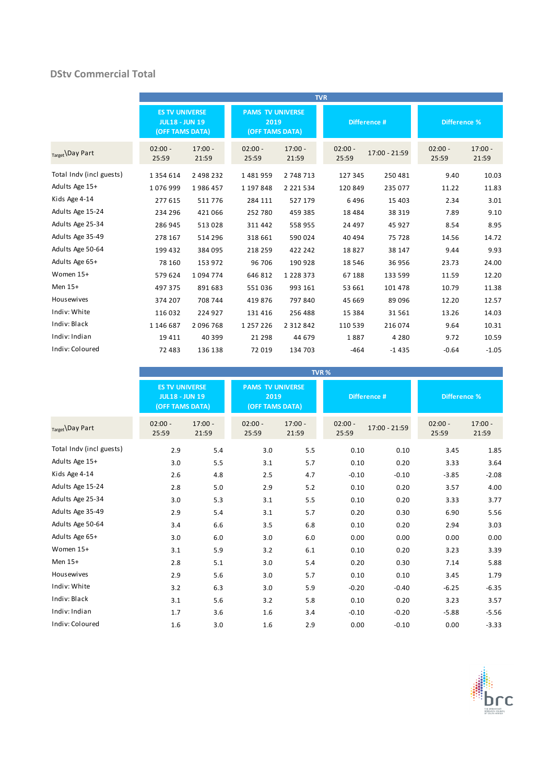### **DStv Commercial Total**

|                          |                                                                   |                    |                                                    |                    | <b>TVR</b>         |               |                    |                    |
|--------------------------|-------------------------------------------------------------------|--------------------|----------------------------------------------------|--------------------|--------------------|---------------|--------------------|--------------------|
|                          | <b>ES TV UNIVERSE</b><br><b>JUL18 - JUN 19</b><br>(OFF TAMS DATA) |                    | <b>PAMS TV UNIVERSE</b><br>2019<br>(OFF TAMS DATA) |                    | Difference #       |               | Difference %       |                    |
| Target \Day Part         | $02:00 -$<br>25:59                                                | $17:00 -$<br>21:59 | $02:00 -$<br>25:59                                 | $17:00 -$<br>21:59 | $02:00 -$<br>25:59 | 17:00 - 21:59 | $02:00 -$<br>25:59 | $17:00 -$<br>21:59 |
| Total Indv (incl guests) | 1 3 5 4 6 1 4                                                     | 2 498 232          | 1481959                                            | 2 748 713          | 127 345            | 250 481       | 9.40               | 10.03              |
| Adults Age 15+           | 1076999                                                           | 1986457            | 1 197 848                                          | 2 2 2 1 5 3 4      | 120 849            | 235 077       | 11.22              | 11.83              |
| Kids Age 4-14            | 277 615                                                           | 511776             | 284 111                                            | 527 179            | 6496               | 15 4 03       | 2.34               | 3.01               |
| Adults Age 15-24         | 234 296                                                           | 421 066            | 252 780                                            | 459 385            | 18 4 8 4           | 38 319        | 7.89               | 9.10               |
| Adults Age 25-34         | 286 945                                                           | 513028             | 311 442                                            | 558 955            | 24 497             | 45 927        | 8.54               | 8.95               |
| Adults Age 35-49         | 278 167                                                           | 514 296            | 318 661                                            | 590 024            | 40 494             | 75 728        | 14.56              | 14.72              |
| Adults Age 50-64         | 199 432                                                           | 384 095            | 218 259                                            | 422 242            | 18827              | 38 147        | 9.44               | 9.93               |
| Adults Age 65+           | 78 160                                                            | 153 972            | 96 706                                             | 190 928            | 18 5 46            | 36 956        | 23.73              | 24.00              |
| Women 15+                | 579 624                                                           | 1094774            | 646 812                                            | 1 2 2 8 3 7 3      | 67 188             | 133 599       | 11.59              | 12.20              |
| Men 15+                  | 497 375                                                           | 891 683            | 551036                                             | 993 161            | 53 661             | 101 478       | 10.79              | 11.38              |
| Housewives               | 374 207                                                           | 708 744            | 419 876                                            | 797 840            | 45 669             | 89 096        | 12.20              | 12.57              |
| Indiv: White             | 116 032                                                           | 224 927            | 131 416                                            | 256 488            | 15 3 8 4           | 31561         | 13.26              | 14.03              |
| Indiv: Black             | 1 146 687                                                         | 2096768            | 1 2 5 7 2 2 6                                      | 2 3 1 2 8 4 2      | 110 539            | 216 074       | 9.64               | 10.31              |
| Indiv: Indian            | 19 4 11                                                           | 40 399             | 21 298                                             | 44 679             | 1887               | 4 2 8 0       | 9.72               | 10.59              |
| Indiv: Coloured          | 72 483                                                            | 136 138            | 72 019                                             | 134 703            | $-464$             | $-1435$       | $-0.64$            | $-1.05$            |

|                          |                                                                   |                    |                                                    |                    | TVR <sub>%</sub>   |               |                    |                     |
|--------------------------|-------------------------------------------------------------------|--------------------|----------------------------------------------------|--------------------|--------------------|---------------|--------------------|---------------------|
|                          | <b>ES TV UNIVERSE</b><br><b>JUL18 - JUN 19</b><br>(OFF TAMS DATA) |                    | <b>PAMS TV UNIVERSE</b><br>2019<br>(OFF TAMS DATA) |                    |                    | Difference #  |                    | <b>Difference %</b> |
| Target \Day Part         | $02:00 -$<br>25:59                                                | $17:00 -$<br>21:59 | $02:00 -$<br>25:59                                 | $17:00 -$<br>21:59 | $02:00 -$<br>25:59 | 17:00 - 21:59 | $02:00 -$<br>25:59 | $17:00 -$<br>21:59  |
| Total Indv (incl guests) | 2.9                                                               | 5.4                | 3.0                                                | 5.5                | 0.10               | 0.10          | 3.45               | 1.85                |
| Adults Age 15+           | 3.0                                                               | 5.5                | 3.1                                                | 5.7                | 0.10               | 0.20          | 3.33               | 3.64                |
| Kids Age 4-14            | 2.6                                                               | 4.8                | 2.5                                                | 4.7                | $-0.10$            | $-0.10$       | $-3.85$            | $-2.08$             |
| Adults Age 15-24         | 2.8                                                               | 5.0                | 2.9                                                | 5.2                | 0.10               | 0.20          | 3.57               | 4.00                |
| Adults Age 25-34         | 3.0                                                               | 5.3                | 3.1                                                | 5.5                | 0.10               | 0.20          | 3.33               | 3.77                |
| Adults Age 35-49         | 2.9                                                               | 5.4                | 3.1                                                | 5.7                | 0.20               | 0.30          | 6.90               | 5.56                |
| Adults Age 50-64         | 3.4                                                               | 6.6                | 3.5                                                | 6.8                | 0.10               | 0.20          | 2.94               | 3.03                |
| Adults Age 65+           | 3.0                                                               | 6.0                | 3.0                                                | 6.0                | 0.00               | 0.00          | 0.00               | 0.00                |
| Women 15+                | 3.1                                                               | 5.9                | 3.2                                                | 6.1                | 0.10               | 0.20          | 3.23               | 3.39                |
| Men 15+                  | 2.8                                                               | 5.1                | 3.0                                                | 5.4                | 0.20               | 0.30          | 7.14               | 5.88                |
| Housewives               | 2.9                                                               | 5.6                | 3.0                                                | 5.7                | 0.10               | 0.10          | 3.45               | 1.79                |
| Indiv: White             | 3.2                                                               | 6.3                | 3.0                                                | 5.9                | $-0.20$            | $-0.40$       | $-6.25$            | $-6.35$             |
| Indiv: Black             | 3.1                                                               | 5.6                | 3.2                                                | 5.8                | 0.10               | 0.20          | 3.23               | 3.57                |
| Indiv: Indian            | 1.7                                                               | 3.6                | 1.6                                                | 3.4                | $-0.10$            | $-0.20$       | $-5.88$            | $-5.56$             |
| Indiv: Coloured          | 1.6                                                               | 3.0                | 1.6                                                | 2.9                | 0.00               | $-0.10$       | 0.00               | $-3.33$             |

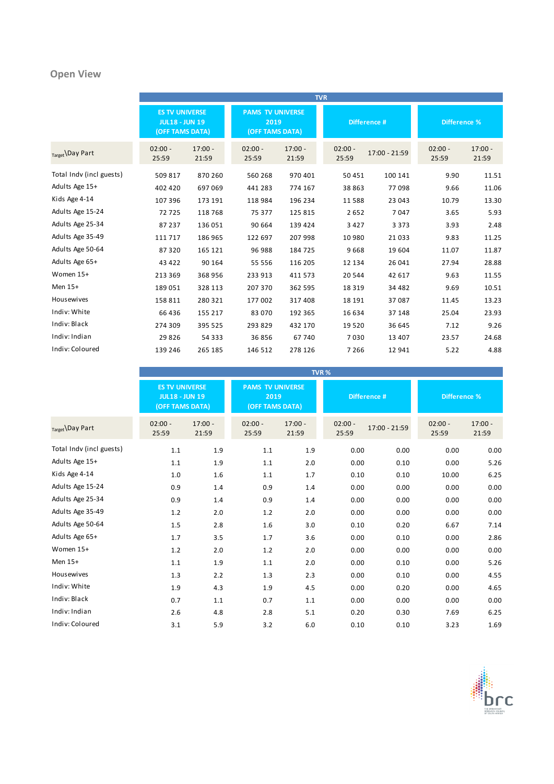## **Open View**

|                          |                                                                   |                    |                                                    |                    | <b>TVR</b>         |               |                     |                    |
|--------------------------|-------------------------------------------------------------------|--------------------|----------------------------------------------------|--------------------|--------------------|---------------|---------------------|--------------------|
|                          | <b>ES TV UNIVERSE</b><br><b>JUL18 - JUN 19</b><br>(OFF TAMS DATA) |                    | <b>PAMS TV UNIVERSE</b><br>2019<br>(OFF TAMS DATA) |                    | Difference #       |               | <b>Difference %</b> |                    |
| Target Day Part          | $02:00 -$<br>25:59                                                | $17:00 -$<br>21:59 | $02:00 -$<br>25:59                                 | $17:00 -$<br>21:59 | $02:00 -$<br>25:59 | 17:00 - 21:59 | $02:00 -$<br>25:59  | $17:00 -$<br>21:59 |
| Total Indv (incl guests) | 509 817                                                           | 870 260            | 560 268                                            | 970 401            | 50 451             | 100 141       | 9.90                | 11.51              |
| Adults Age 15+           | 402 420                                                           | 697 069            | 441 283                                            | 774 167            | 38 863             | 77098         | 9.66                | 11.06              |
| Kids Age 4-14            | 107 396                                                           | 173 191            | 118 984                                            | 196 234            | 11 588             | 23 043        | 10.79               | 13.30              |
| Adults Age 15-24         | 72725                                                             | 118 768            | 75 377                                             | 125 815            | 2652               | 7047          | 3.65                | 5.93               |
| Adults Age 25-34         | 87 237                                                            | 136 051            | 90 664                                             | 139 424            | 3 4 2 7            | 3 3 7 3       | 3.93                | 2.48               |
| Adults Age 35-49         | 111 717                                                           | 186 965            | 122 697                                            | 207 998            | 10 980             | 21033         | 9.83                | 11.25              |
| Adults Age 50-64         | 87320                                                             | 165 121            | 96 988                                             | 184 725            | 9668               | 19 604        | 11.07               | 11.87              |
| Adults Age 65+           | 43 4 22                                                           | 90 164             | 55 556                                             | 116 205            | 12 134             | 26 041        | 27.94               | 28.88              |
| Women 15+                | 213 369                                                           | 368 956            | 233 913                                            | 411 573            | 20 544             | 42 617        | 9.63                | 11.55              |
| Men 15+                  | 189051                                                            | 328 113            | 207 370                                            | 362 595            | 18 3 19            | 34 482        | 9.69                | 10.51              |
| Housewives               | 158 811                                                           | 280 321            | 177 002                                            | 317 408            | 18 191             | 37087         | 11.45               | 13.23              |
| Indiv: White             | 66 436                                                            | 155 217            | 83 070                                             | 192 365            | 16 634             | 37 148        | 25.04               | 23.93              |
| Indiv: Black             | 274 309                                                           | 395 525            | 293 829                                            | 432 170            | 19 5 20            | 36 645        | 7.12                | 9.26               |
| Indiv: Indian            | 29826                                                             | 54 3 3 3           | 36856                                              | 67740              | 7030               | 13 407        | 23.57               | 24.68              |
| Indiv: Coloured          | 139 246                                                           | 265 185            | 146 512                                            | 278 126            | 7 2 6 6            | 12 941        | 5.22                | 4.88               |

|                          |                                                                   |                    |                                                    | TVR <sub>%</sub>   |                    |               |                     |                    |
|--------------------------|-------------------------------------------------------------------|--------------------|----------------------------------------------------|--------------------|--------------------|---------------|---------------------|--------------------|
|                          | <b>ES TV UNIVERSE</b><br><b>JUL18 - JUN 19</b><br>(OFF TAMS DATA) |                    | <b>PAMS TV UNIVERSE</b><br>2019<br>(OFF TAMS DATA) |                    | Difference #       |               | <b>Difference %</b> |                    |
| Target Day Part          | $02:00 -$<br>25:59                                                | $17:00 -$<br>21:59 | $02:00 -$<br>25:59                                 | $17:00 -$<br>21:59 | $02:00 -$<br>25:59 | 17:00 - 21:59 | $02:00 -$<br>25:59  | $17:00 -$<br>21:59 |
| Total Indv (incl guests) | 1.1                                                               | 1.9                | 1.1                                                | 1.9                | 0.00               | 0.00          | 0.00                | 0.00               |
| Adults Age 15+           | 1.1                                                               | 1.9                | 1.1                                                | 2.0                | 0.00               | 0.10          | 0.00                | 5.26               |
| Kids Age 4-14            | 1.0                                                               | 1.6                | 1.1                                                | 1.7                | 0.10               | 0.10          | 10.00               | 6.25               |
| Adults Age 15-24         | 0.9                                                               | 1.4                | 0.9                                                | 1.4                | 0.00               | 0.00          | 0.00                | 0.00               |
| Adults Age 25-34         | 0.9                                                               | 1.4                | 0.9                                                | 1.4                | 0.00               | 0.00          | 0.00                | 0.00               |
| Adults Age 35-49         | 1.2                                                               | 2.0                | 1.2                                                | 2.0                | 0.00               | 0.00          | 0.00                | 0.00               |
| Adults Age 50-64         | 1.5                                                               | 2.8                | 1.6                                                | 3.0                | 0.10               | 0.20          | 6.67                | 7.14               |
| Adults Age 65+           | 1.7                                                               | 3.5                | 1.7                                                | 3.6                | 0.00               | 0.10          | 0.00                | 2.86               |
| Women 15+                | 1.2                                                               | 2.0                | 1.2                                                | 2.0                | 0.00               | 0.00          | 0.00                | 0.00               |
| Men 15+                  | $1.1\,$                                                           | 1.9                | 1.1                                                | 2.0                | 0.00               | 0.10          | 0.00                | 5.26               |
| Housewives               | 1.3                                                               | 2.2                | 1.3                                                | 2.3                | 0.00               | 0.10          | 0.00                | 4.55               |
| Indiv: White             | 1.9                                                               | 4.3                | 1.9                                                | 4.5                | 0.00               | 0.20          | 0.00                | 4.65               |
| Indiv: Black             | 0.7                                                               | 1.1                | 0.7                                                | 1.1                | 0.00               | 0.00          | 0.00                | 0.00               |
| Indiv: Indian            | 2.6                                                               | 4.8                | 2.8                                                | 5.1                | 0.20               | 0.30          | 7.69                | 6.25               |
| Indiv: Coloured          | 3.1                                                               | 5.9                | 3.2                                                | 6.0                | 0.10               | 0.10          | 3.23                | 1.69               |